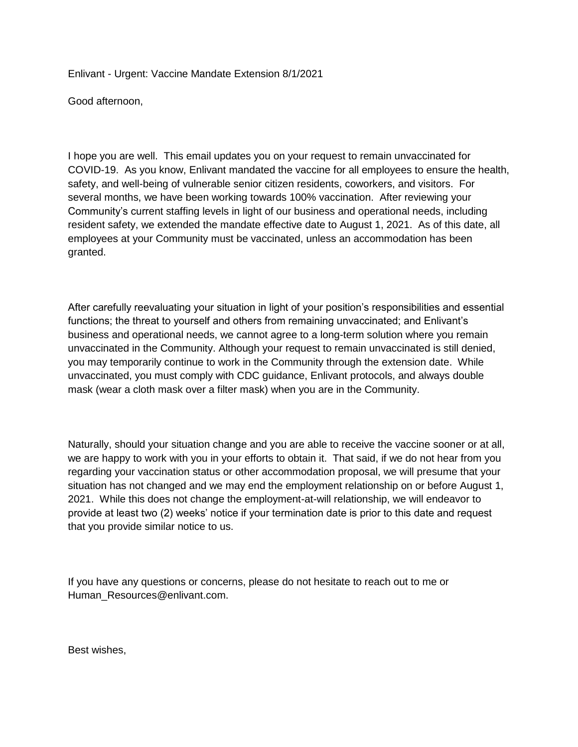Enlivant - Urgent: Vaccine Mandate Extension 8/1/2021

Good afternoon,

I hope you are well. This email updates you on your request to remain unvaccinated for COVID-19. As you know, Enlivant mandated the vaccine for all employees to ensure the health, safety, and well-being of vulnerable senior citizen residents, coworkers, and visitors. For several months, we have been working towards 100% vaccination. After reviewing your Community's current staffing levels in light of our business and operational needs, including resident safety, we extended the mandate effective date to August 1, 2021. As of this date, all employees at your Community must be vaccinated, unless an accommodation has been granted.

After carefully reevaluating your situation in light of your position's responsibilities and essential functions; the threat to yourself and others from remaining unvaccinated; and Enlivant's business and operational needs, we cannot agree to a long-term solution where you remain unvaccinated in the Community. Although your request to remain unvaccinated is still denied, you may temporarily continue to work in the Community through the extension date. While unvaccinated, you must comply with CDC guidance, Enlivant protocols, and always double mask (wear a cloth mask over a filter mask) when you are in the Community.

Naturally, should your situation change and you are able to receive the vaccine sooner or at all, we are happy to work with you in your efforts to obtain it. That said, if we do not hear from you regarding your vaccination status or other accommodation proposal, we will presume that your situation has not changed and we may end the employment relationship on or before August 1, 2021. While this does not change the employment-at-will relationship, we will endeavor to provide at least two (2) weeks' notice if your termination date is prior to this date and request that you provide similar notice to us.

If you have any questions or concerns, please do not hesitate to reach out to me or Human\_Resources@enlivant.com.

Best wishes,